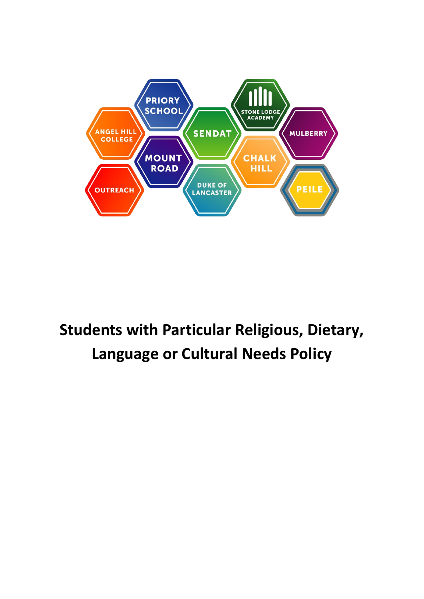

## **Students with Particular Religious, Dietary, Language or Cultural Needs Policy**